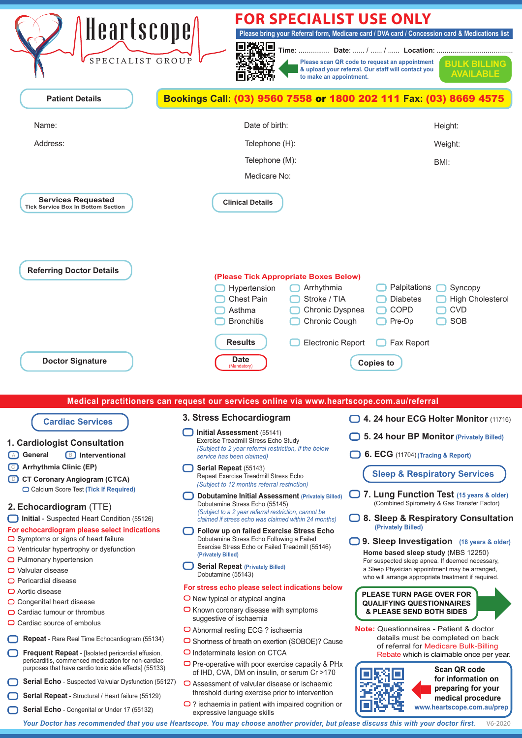